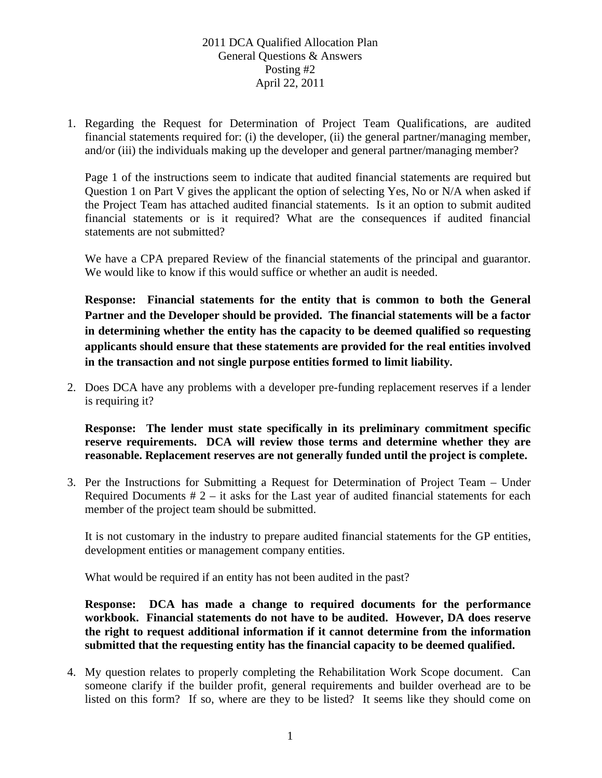1. Regarding the Request for Determination of Project Team Qualifications, are audited financial statements required for: (i) the developer, (ii) the general partner/managing member, and/or (iii) the individuals making up the developer and general partner/managing member?

Page 1 of the instructions seem to indicate that audited financial statements are required but Question 1 on Part V gives the applicant the option of selecting Yes, No or N/A when asked if the Project Team has attached audited financial statements. Is it an option to submit audited financial statements or is it required? What are the consequences if audited financial statements are not submitted?

We have a CPA prepared Review of the financial statements of the principal and guarantor. We would like to know if this would suffice or whether an audit is needed.

**Response: Financial statements for the entity that is common to both the General Partner and the Developer should be provided. The financial statements will be a factor in determining whether the entity has the capacity to be deemed qualified so requesting applicants should ensure that these statements are provided for the real entities involved in the transaction and not single purpose entities formed to limit liability.** 

2. Does DCA have any problems with a developer pre-funding replacement reserves if a lender is requiring it?

**Response: The lender must state specifically in its preliminary commitment specific reserve requirements. DCA will review those terms and determine whether they are reasonable. Replacement reserves are not generally funded until the project is complete.** 

3. Per the Instructions for Submitting a Request for Determination of Project Team – Under Required Documents  $# 2 - it$  asks for the Last year of audited financial statements for each member of the project team should be submitted.

It is not customary in the industry to prepare audited financial statements for the GP entities, development entities or management company entities.

What would be required if an entity has not been audited in the past?

**Response: DCA has made a change to required documents for the performance workbook. Financial statements do not have to be audited. However, DA does reserve the right to request additional information if it cannot determine from the information submitted that the requesting entity has the financial capacity to be deemed qualified.** 

4. My question relates to properly completing the Rehabilitation Work Scope document. Can someone clarify if the builder profit, general requirements and builder overhead are to be listed on this form? If so, where are they to be listed? It seems like they should come on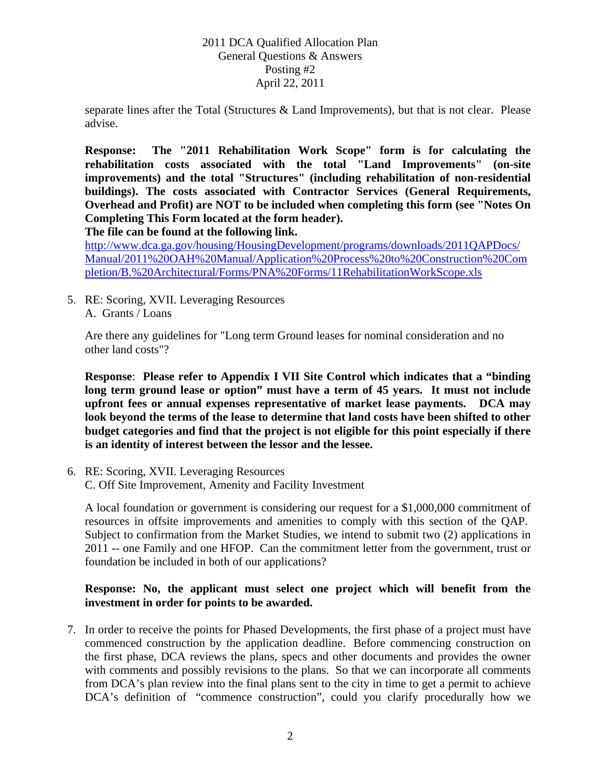separate lines after the Total (Structures & Land Improvements), but that is not clear. Please advise.

**Response: The "2011 Rehabilitation Work Scope" form is for calculating the rehabilitation costs associated with the total "Land Improvements" (on-site improvements) and the total "Structures" (including rehabilitation of non-residential buildings). The costs associated with Contractor Services (General Requirements, Overhead and Profit) are NOT to be included when completing this form (see "Notes On Completing This Form located at the form header).** 

**The file can be found at the following link.** 

http://www.dca.ga.gov/housing/HousingDevelopment/programs/downloads/2011QAPDocs/ Manual/2011%20OAH%20Manual/Application%20Process%20to%20Construction%20Com pletion/B.%20Architectural/Forms/PNA%20Forms/11RehabilitationWorkScope.xls

5. RE: Scoring, XVII. Leveraging Resources A. Grants / Loans

Are there any guidelines for "Long term Ground leases for nominal consideration and no other land costs"?

**Response**: **Please refer to Appendix I VII Site Control which indicates that a "binding long term ground lease or option" must have a term of 45 years. It must not include upfront fees or annual expenses representative of market lease payments. DCA may look beyond the terms of the lease to determine that land costs have been shifted to other budget categories and find that the project is not eligible for this point especially if there is an identity of interest between the lessor and the lessee.** 

6. RE: Scoring, XVII. Leveraging Resources C. Off Site Improvement, Amenity and Facility Investment

A local foundation or government is considering our request for a \$1,000,000 commitment of resources in offsite improvements and amenities to comply with this section of the QAP. Subject to confirmation from the Market Studies, we intend to submit two (2) applications in 2011 -- one Family and one HFOP. Can the commitment letter from the government, trust or foundation be included in both of our applications?

# **Response: No, the applicant must select one project which will benefit from the investment in order for points to be awarded.**

7. In order to receive the points for Phased Developments, the first phase of a project must have commenced construction by the application deadline. Before commencing construction on the first phase, DCA reviews the plans, specs and other documents and provides the owner with comments and possibly revisions to the plans. So that we can incorporate all comments from DCA's plan review into the final plans sent to the city in time to get a permit to achieve DCA's definition of "commence construction", could you clarify procedurally how we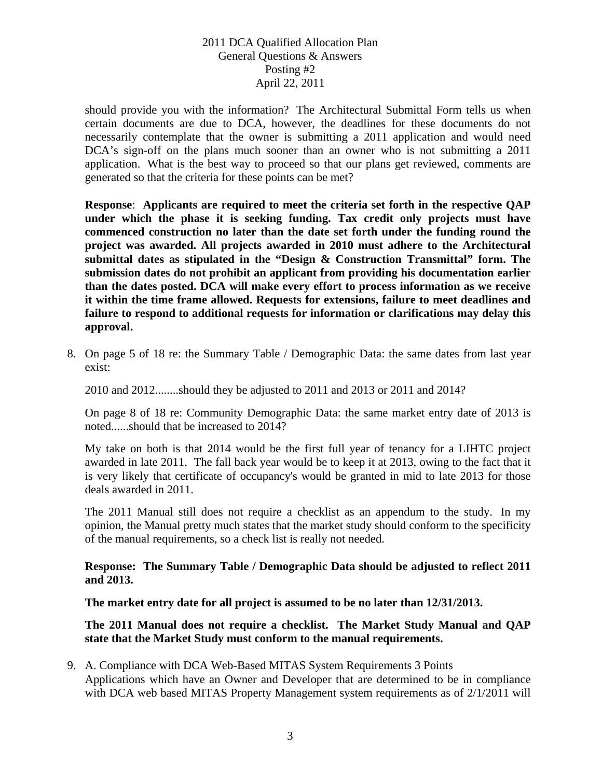should provide you with the information? The Architectural Submittal Form tells us when certain documents are due to DCA, however, the deadlines for these documents do not necessarily contemplate that the owner is submitting a 2011 application and would need DCA's sign-off on the plans much sooner than an owner who is not submitting a 2011 application. What is the best way to proceed so that our plans get reviewed, comments are generated so that the criteria for these points can be met?

**Response**: **Applicants are required to meet the criteria set forth in the respective QAP under which the phase it is seeking funding. Tax credit only projects must have commenced construction no later than the date set forth under the funding round the project was awarded. All projects awarded in 2010 must adhere to the Architectural submittal dates as stipulated in the "Design & Construction Transmittal" form. The submission dates do not prohibit an applicant from providing his documentation earlier than the dates posted. DCA will make every effort to process information as we receive it within the time frame allowed. Requests for extensions, failure to meet deadlines and failure to respond to additional requests for information or clarifications may delay this approval.** 

8. On page 5 of 18 re: the Summary Table / Demographic Data: the same dates from last year exist:

2010 and 2012........should they be adjusted to 2011 and 2013 or 2011 and 2014?

On page 8 of 18 re: Community Demographic Data: the same market entry date of 2013 is noted......should that be increased to 2014?

My take on both is that 2014 would be the first full year of tenancy for a LIHTC project awarded in late 2011. The fall back year would be to keep it at 2013, owing to the fact that it is very likely that certificate of occupancy's would be granted in mid to late 2013 for those deals awarded in 2011.

The 2011 Manual still does not require a checklist as an appendum to the study. In my opinion, the Manual pretty much states that the market study should conform to the specificity of the manual requirements, so a check list is really not needed.

**Response: The Summary Table / Demographic Data should be adjusted to reflect 2011 and 2013.** 

**The market entry date for all project is assumed to be no later than 12/31/2013.** 

### **The 2011 Manual does not require a checklist. The Market Study Manual and QAP state that the Market Study must conform to the manual requirements.**

9. A. Compliance with DCA Web-Based MITAS System Requirements 3 Points Applications which have an Owner and Developer that are determined to be in compliance with DCA web based MITAS Property Management system requirements as of 2/1/2011 will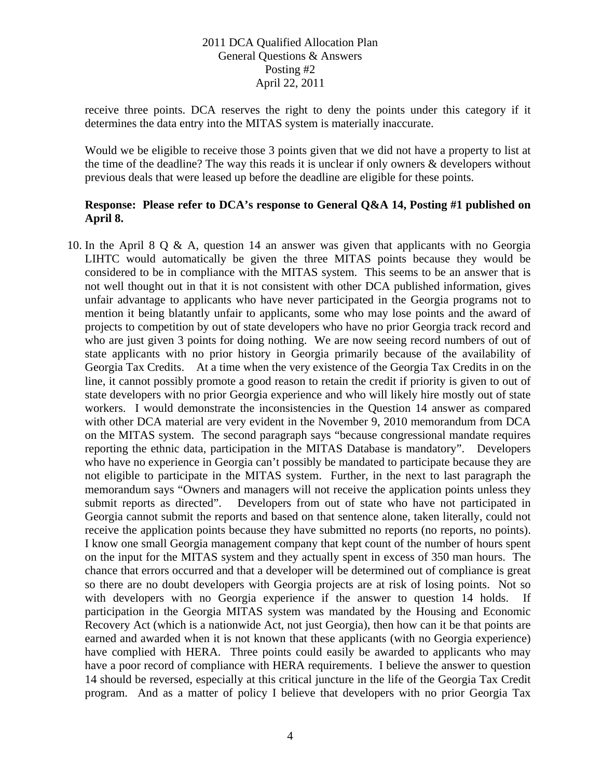receive three points. DCA reserves the right to deny the points under this category if it determines the data entry into the MITAS system is materially inaccurate.

Would we be eligible to receive those 3 points given that we did not have a property to list at the time of the deadline? The way this reads it is unclear if only owners & developers without previous deals that were leased up before the deadline are eligible for these points.

### **Response: Please refer to DCA's response to General Q&A 14, Posting #1 published on April 8.**

10. In the April 8 Q & A, question 14 an answer was given that applicants with no Georgia LIHTC would automatically be given the three MITAS points because they would be considered to be in compliance with the MITAS system. This seems to be an answer that is not well thought out in that it is not consistent with other DCA published information, gives unfair advantage to applicants who have never participated in the Georgia programs not to mention it being blatantly unfair to applicants, some who may lose points and the award of projects to competition by out of state developers who have no prior Georgia track record and who are just given 3 points for doing nothing. We are now seeing record numbers of out of state applicants with no prior history in Georgia primarily because of the availability of Georgia Tax Credits. At a time when the very existence of the Georgia Tax Credits in on the line, it cannot possibly promote a good reason to retain the credit if priority is given to out of state developers with no prior Georgia experience and who will likely hire mostly out of state workers. I would demonstrate the inconsistencies in the Question 14 answer as compared with other DCA material are very evident in the November 9, 2010 memorandum from DCA on the MITAS system. The second paragraph says "because congressional mandate requires reporting the ethnic data, participation in the MITAS Database is mandatory". Developers who have no experience in Georgia can't possibly be mandated to participate because they are not eligible to participate in the MITAS system. Further, in the next to last paragraph the memorandum says "Owners and managers will not receive the application points unless they submit reports as directed". Developers from out of state who have not participated in Georgia cannot submit the reports and based on that sentence alone, taken literally, could not receive the application points because they have submitted no reports (no reports, no points). I know one small Georgia management company that kept count of the number of hours spent on the input for the MITAS system and they actually spent in excess of 350 man hours. The chance that errors occurred and that a developer will be determined out of compliance is great so there are no doubt developers with Georgia projects are at risk of losing points. Not so with developers with no Georgia experience if the answer to question 14 holds. If participation in the Georgia MITAS system was mandated by the Housing and Economic Recovery Act (which is a nationwide Act, not just Georgia), then how can it be that points are earned and awarded when it is not known that these applicants (with no Georgia experience) have complied with HERA. Three points could easily be awarded to applicants who may have a poor record of compliance with HERA requirements. I believe the answer to question 14 should be reversed, especially at this critical juncture in the life of the Georgia Tax Credit program. And as a matter of policy I believe that developers with no prior Georgia Tax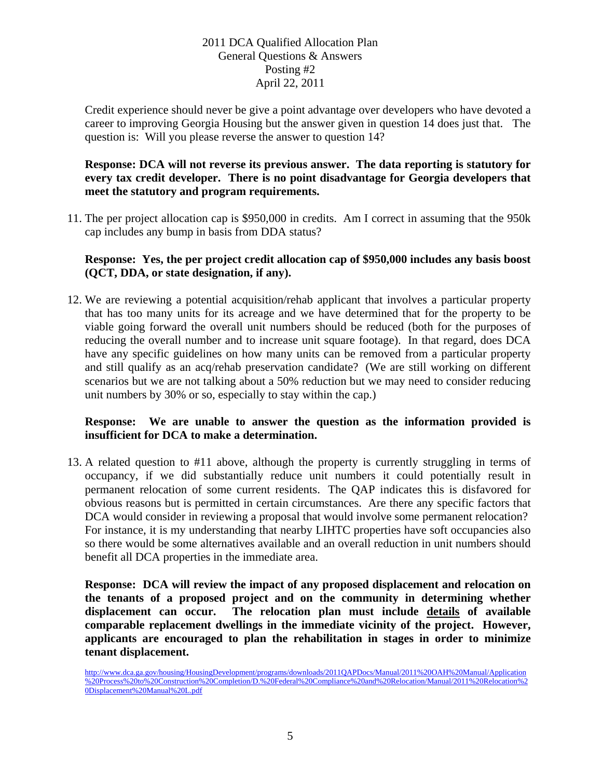Credit experience should never be give a point advantage over developers who have devoted a career to improving Georgia Housing but the answer given in question 14 does just that. The question is: Will you please reverse the answer to question 14?

## **Response: DCA will not reverse its previous answer. The data reporting is statutory for every tax credit developer. There is no point disadvantage for Georgia developers that meet the statutory and program requirements.**

11. The per project allocation cap is \$950,000 in credits. Am I correct in assuming that the 950k cap includes any bump in basis from DDA status?

### **Response: Yes, the per project credit allocation cap of \$950,000 includes any basis boost (QCT, DDA, or state designation, if any).**

12. We are reviewing a potential acquisition/rehab applicant that involves a particular property that has too many units for its acreage and we have determined that for the property to be viable going forward the overall unit numbers should be reduced (both for the purposes of reducing the overall number and to increase unit square footage). In that regard, does DCA have any specific guidelines on how many units can be removed from a particular property and still qualify as an acq/rehab preservation candidate? (We are still working on different scenarios but we are not talking about a 50% reduction but we may need to consider reducing unit numbers by 30% or so, especially to stay within the cap.)

### **Response: We are unable to answer the question as the information provided is insufficient for DCA to make a determination.**

13. A related question to #11 above, although the property is currently struggling in terms of occupancy, if we did substantially reduce unit numbers it could potentially result in permanent relocation of some current residents. The QAP indicates this is disfavored for obvious reasons but is permitted in certain circumstances. Are there any specific factors that DCA would consider in reviewing a proposal that would involve some permanent relocation? For instance, it is my understanding that nearby LIHTC properties have soft occupancies also so there would be some alternatives available and an overall reduction in unit numbers should benefit all DCA properties in the immediate area.

**Response: DCA will review the impact of any proposed displacement and relocation on the tenants of a proposed project and on the community in determining whether displacement can occur. The relocation plan must include details of available comparable replacement dwellings in the immediate vicinity of the project. However, applicants are encouraged to plan the rehabilitation in stages in order to minimize tenant displacement.** 

http://www.dca.ga.gov/housing/HousingDevelopment/programs/downloads/2011QAPDocs/Manual/2011%20OAH%20Manual/Application %20Process%20to%20Construction%20Completion/D.%20Federal%20Compliance%20and%20Relocation/Manual/2011%20Relocation%2 0Displacement%20Manual%20L.pdf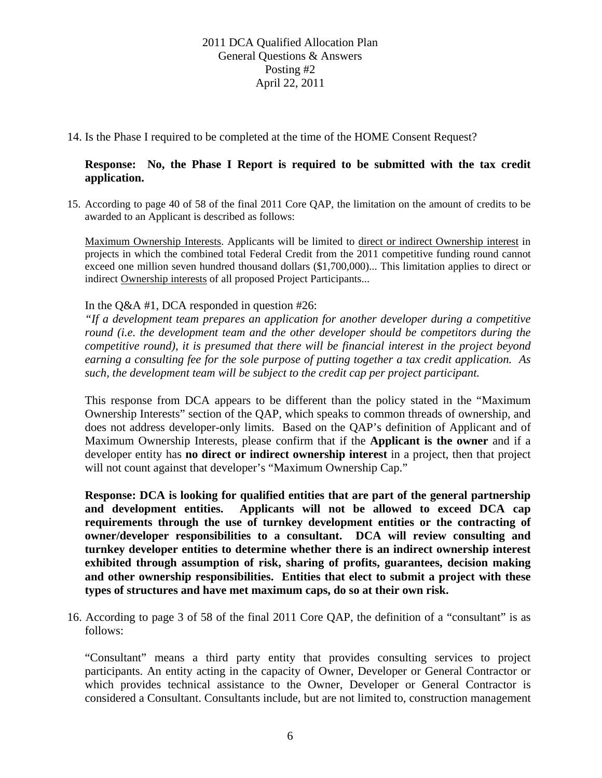14. Is the Phase I required to be completed at the time of the HOME Consent Request?

#### **Response: No, the Phase I Report is required to be submitted with the tax credit application.**

15. According to page 40 of 58 of the final 2011 Core QAP, the limitation on the amount of credits to be awarded to an Applicant is described as follows:

Maximum Ownership Interests. Applicants will be limited to direct or indirect Ownership interest in projects in which the combined total Federal Credit from the 2011 competitive funding round cannot exceed one million seven hundred thousand dollars (\$1,700,000)... This limitation applies to direct or indirect Ownership interests of all proposed Project Participants...

#### In the Q&A #1, DCA responded in question #26:

*"If a development team prepares an application for another developer during a competitive round (i.e. the development team and the other developer should be competitors during the competitive round), it is presumed that there will be financial interest in the project beyond earning a consulting fee for the sole purpose of putting together a tax credit application. As such, the development team will be subject to the credit cap per project participant.* 

This response from DCA appears to be different than the policy stated in the "Maximum Ownership Interests" section of the QAP, which speaks to common threads of ownership, and does not address developer-only limits. Based on the QAP's definition of Applicant and of Maximum Ownership Interests, please confirm that if the **Applicant is the owner** and if a developer entity has **no direct or indirect ownership interest** in a project, then that project will not count against that developer's "Maximum Ownership Cap."

**Response: DCA is looking for qualified entities that are part of the general partnership and development entities. Applicants will not be allowed to exceed DCA cap requirements through the use of turnkey development entities or the contracting of owner/developer responsibilities to a consultant. DCA will review consulting and turnkey developer entities to determine whether there is an indirect ownership interest exhibited through assumption of risk, sharing of profits, guarantees, decision making and other ownership responsibilities. Entities that elect to submit a project with these types of structures and have met maximum caps, do so at their own risk.** 

16. According to page 3 of 58 of the final 2011 Core QAP, the definition of a "consultant" is as follows:

"Consultant" means a third party entity that provides consulting services to project participants. An entity acting in the capacity of Owner, Developer or General Contractor or which provides technical assistance to the Owner, Developer or General Contractor is considered a Consultant. Consultants include, but are not limited to, construction management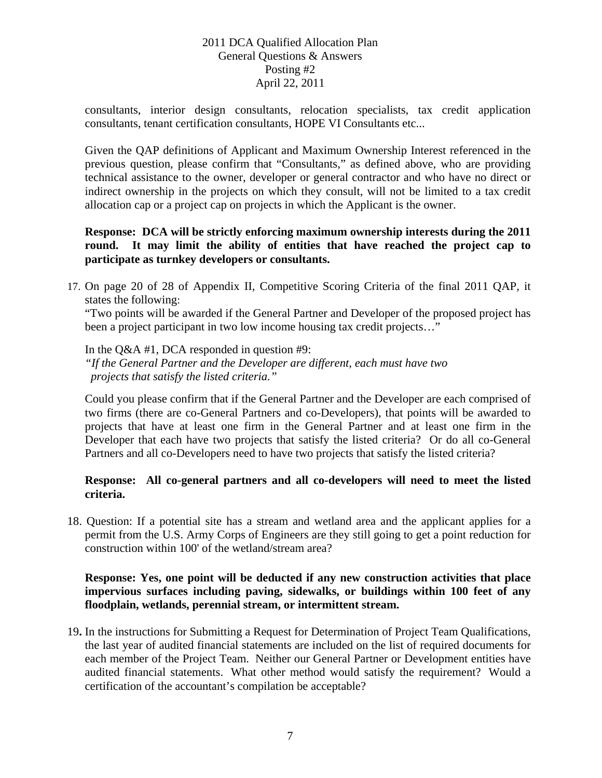consultants, interior design consultants, relocation specialists, tax credit application consultants, tenant certification consultants, HOPE VI Consultants etc...

Given the QAP definitions of Applicant and Maximum Ownership Interest referenced in the previous question, please confirm that "Consultants," as defined above, who are providing technical assistance to the owner, developer or general contractor and who have no direct or indirect ownership in the projects on which they consult, will not be limited to a tax credit allocation cap or a project cap on projects in which the Applicant is the owner.

**Response: DCA will be strictly enforcing maximum ownership interests during the 2011 round. It may limit the ability of entities that have reached the project cap to participate as turnkey developers or consultants.** 

17. On page 20 of 28 of Appendix II, Competitive Scoring Criteria of the final 2011 QAP, it states the following:

"Two points will be awarded if the General Partner and Developer of the proposed project has been a project participant in two low income housing tax credit projects..."

In the Q&A #1, DCA responded in question #9: *"If the General Partner and the Developer are different, each must have two projects that satisfy the listed criteria."* 

Could you please confirm that if the General Partner and the Developer are each comprised of two firms (there are co-General Partners and co-Developers), that points will be awarded to projects that have at least one firm in the General Partner and at least one firm in the Developer that each have two projects that satisfy the listed criteria? Or do all co-General Partners and all co-Developers need to have two projects that satisfy the listed criteria?

# **Response: All co-general partners and all co-developers will need to meet the listed criteria.**

18. Question: If a potential site has a stream and wetland area and the applicant applies for a permit from the U.S. Army Corps of Engineers are they still going to get a point reduction for construction within 100' of the wetland/stream area?

## **Response: Yes, one point will be deducted if any new construction activities that place impervious surfaces including paving, sidewalks, or buildings within 100 feet of any floodplain, wetlands, perennial stream, or intermittent stream.**

19**.** In the instructions for Submitting a Request for Determination of Project Team Qualifications, the last year of audited financial statements are included on the list of required documents for each member of the Project Team. Neither our General Partner or Development entities have audited financial statements. What other method would satisfy the requirement? Would a certification of the accountant's compilation be acceptable?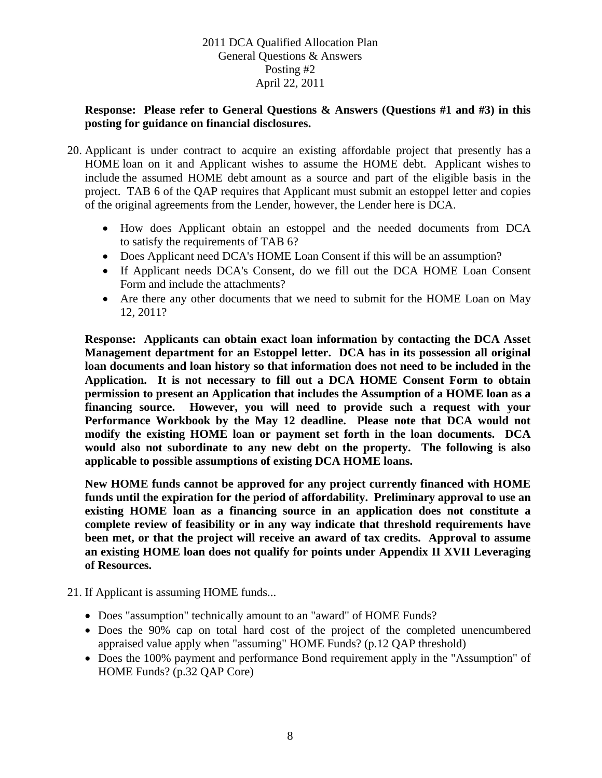### **Response: Please refer to General Questions & Answers (Questions #1 and #3) in this posting for guidance on financial disclosures.**

- 20. Applicant is under contract to acquire an existing affordable project that presently has a HOME loan on it and Applicant wishes to assume the HOME debt. Applicant wishes to include the assumed HOME debt amount as a source and part of the eligible basis in the project. TAB 6 of the QAP requires that Applicant must submit an estoppel letter and copies of the original agreements from the Lender, however, the Lender here is DCA.
	- How does Applicant obtain an estoppel and the needed documents from DCA to satisfy the requirements of TAB 6?
	- Does Applicant need DCA's HOME Loan Consent if this will be an assumption?
	- If Applicant needs DCA's Consent, do we fill out the DCA HOME Loan Consent Form and include the attachments?
	- Are there any other documents that we need to submit for the HOME Loan on May 12, 2011?

**Response: Applicants can obtain exact loan information by contacting the DCA Asset Management department for an Estoppel letter. DCA has in its possession all original loan documents and loan history so that information does not need to be included in the Application. It is not necessary to fill out a DCA HOME Consent Form to obtain permission to present an Application that includes the Assumption of a HOME loan as a financing source. However, you will need to provide such a request with your Performance Workbook by the May 12 deadline. Please note that DCA would not modify the existing HOME loan or payment set forth in the loan documents. DCA would also not subordinate to any new debt on the property. The following is also applicable to possible assumptions of existing DCA HOME loans.** 

**New HOME funds cannot be approved for any project currently financed with HOME funds until the expiration for the period of affordability. Preliminary approval to use an existing HOME loan as a financing source in an application does not constitute a complete review of feasibility or in any way indicate that threshold requirements have been met, or that the project will receive an award of tax credits. Approval to assume an existing HOME loan does not qualify for points under Appendix II XVII Leveraging of Resources.** 

- 21. If Applicant is assuming HOME funds...
	- Does "assumption" technically amount to an "award" of HOME Funds?
	- Does the 90% cap on total hard cost of the project of the completed unencumbered appraised value apply when "assuming" HOME Funds? (p.12 QAP threshold)
	- Does the 100% payment and performance Bond requirement apply in the "Assumption" of HOME Funds? (p.32 QAP Core)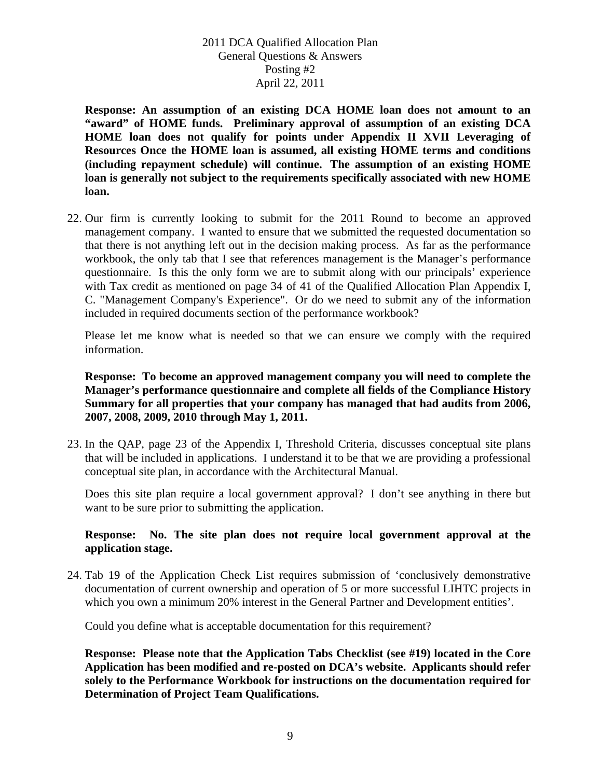**Response: An assumption of an existing DCA HOME loan does not amount to an "award" of HOME funds. Preliminary approval of assumption of an existing DCA HOME loan does not qualify for points under Appendix II XVII Leveraging of Resources Once the HOME loan is assumed, all existing HOME terms and conditions (including repayment schedule) will continue. The assumption of an existing HOME loan is generally not subject to the requirements specifically associated with new HOME loan.**

22. Our firm is currently looking to submit for the 2011 Round to become an approved management company. I wanted to ensure that we submitted the requested documentation so that there is not anything left out in the decision making process. As far as the performance workbook, the only tab that I see that references management is the Manager's performance questionnaire. Is this the only form we are to submit along with our principals' experience with Tax credit as mentioned on page 34 of 41 of the Qualified Allocation Plan Appendix I, C. "Management Company's Experience". Or do we need to submit any of the information included in required documents section of the performance workbook?

Please let me know what is needed so that we can ensure we comply with the required information.

### **Response: To become an approved management company you will need to complete the Manager's performance questionnaire and complete all fields of the Compliance History Summary for all properties that your company has managed that had audits from 2006, 2007, 2008, 2009, 2010 through May 1, 2011.**

23. In the QAP, page 23 of the Appendix I, Threshold Criteria, discusses conceptual site plans that will be included in applications. I understand it to be that we are providing a professional conceptual site plan, in accordance with the Architectural Manual.

Does this site plan require a local government approval? I don't see anything in there but want to be sure prior to submitting the application.

### **Response: No. The site plan does not require local government approval at the application stage.**

24. Tab 19 of the Application Check List requires submission of 'conclusively demonstrative documentation of current ownership and operation of 5 or more successful LIHTC projects in which you own a minimum 20% interest in the General Partner and Development entities'.

Could you define what is acceptable documentation for this requirement?

**Response: Please note that the Application Tabs Checklist (see #19) located in the Core Application has been modified and re-posted on DCA's website. Applicants should refer solely to the Performance Workbook for instructions on the documentation required for Determination of Project Team Qualifications.**